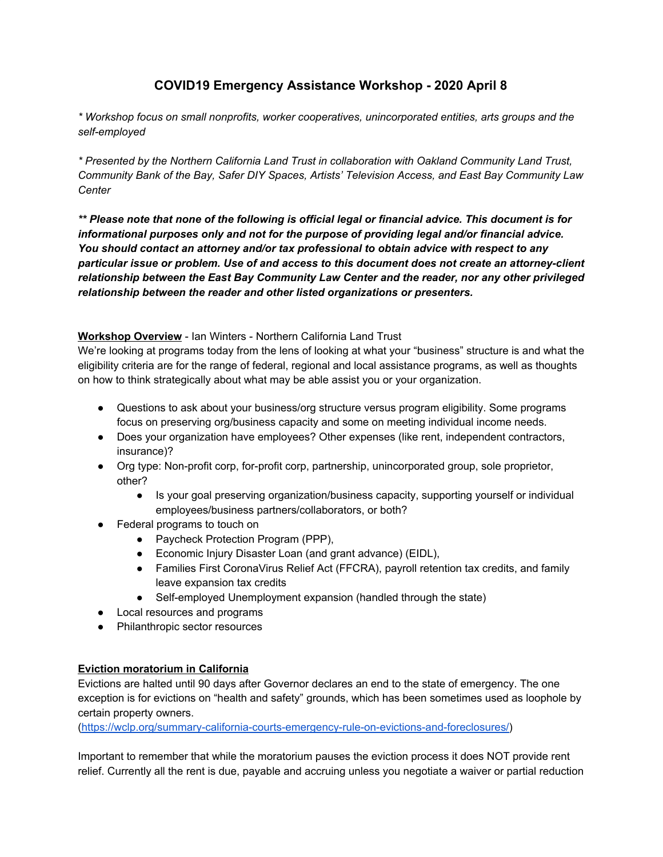# **COVID19 Emergency Assistance Workshop - 2020 April 8**

*\* Workshop focus on small nonprofits, worker cooperatives, unincorporated entities, arts groups and the self-employed*

*\* Presented by the Northern California Land Trust in collaboration with Oakland Community Land Trust, Community Bank of the Bay, Safer DIY Spaces, Artists' Television Access, and East Bay Community Law Center*

\*\* Please note that none of the following is official legal or financial advice. This document is for *informational purposes only and not for the purpose of providing legal and/or financial advice. You should contact an attorney and/or tax professional to obtain advice with respect to any particular issue or problem. Use of and access to this document does not create an attorney-client relationship between the East Bay Community Law Center and the reader, nor any other privileged relationship between the reader and other listed organizations or presenters.*

#### **Workshop Overview** - Ian Winters - Northern California Land Trust

We're looking at programs today from the lens of looking at what your "business" structure is and what the eligibility criteria are for the range of federal, regional and local assistance programs, as well as thoughts on how to think strategically about what may be able assist you or your organization.

- Questions to ask about your business/org structure versus program eligibility. Some programs focus on preserving org/business capacity and some on meeting individual income needs.
- Does your organization have employees? Other expenses (like rent, independent contractors, insurance)?
- Org type: Non-profit corp, for-profit corp, partnership, unincorporated group, sole proprietor, other?
	- Is your goal preserving organization/business capacity, supporting yourself or individual employees/business partners/collaborators, or both?
- Federal programs to touch on
	- Paycheck Protection Program (PPP),
	- Economic Injury Disaster Loan (and grant advance) (EIDL),
	- Families First CoronaVirus Relief Act (FFCRA), payroll retention tax credits, and family leave expansion tax credits
	- Self-employed Unemployment expansion (handled through the state)
- Local resources and programs
- Philanthropic sector resources

#### **Eviction moratorium in California**

Evictions are halted until 90 days after Governor declares an end to the state of emergency. The one exception is for evictions on "health and safety" grounds, which has been sometimes used as loophole by certain property owners.

[\(https://wclp.org/summary-california-courts-emergency-rule-on-evictions-and-foreclosures/](https://wclp.org/summary-california-courts-emergency-rule-on-evictions-and-foreclosures/))

Important to remember that while the moratorium pauses the eviction process it does NOT provide rent relief. Currently all the rent is due, payable and accruing unless you negotiate a waiver or partial reduction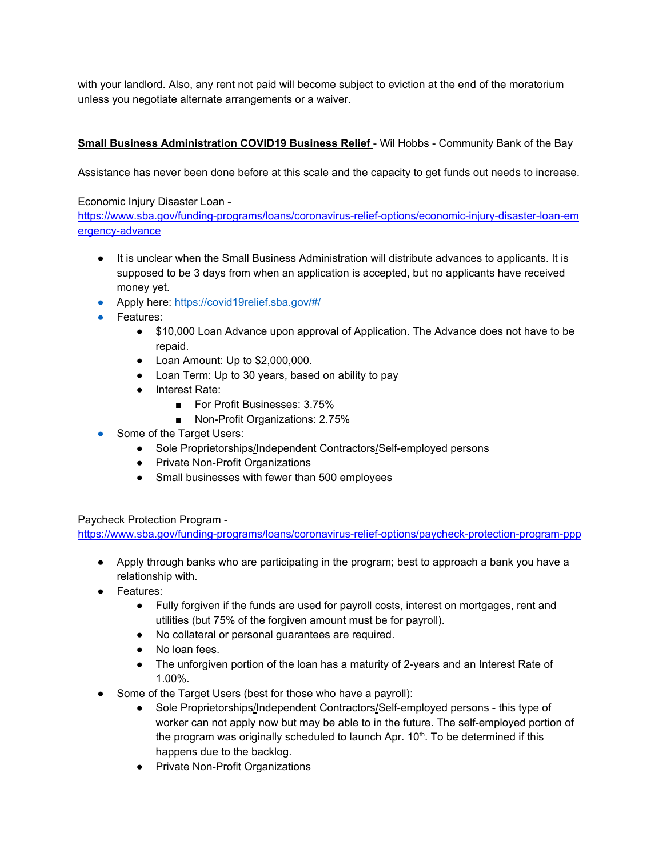with your landlord. Also, any rent not paid will become subject to eviction at the end of the moratorium unless you negotiate alternate arrangements or a waiver.

## **Small Business Administration COVID19 Business Relief** - Wil Hobbs - Community Bank of the Bay

Assistance has never been done before at this scale and the capacity to get funds out needs to increase.

### Economic Injury Disaster Loan -

[https://www.sba.gov/funding-programs/loans/coronavirus-relief-options/economic-injury-disaster-loan-em](https://www.sba.gov/funding-programs/loans/coronavirus-relief-options/economic-injury-disaster-loan-emergency-advance) [ergency-advance](https://www.sba.gov/funding-programs/loans/coronavirus-relief-options/economic-injury-disaster-loan-emergency-advance)

- It is unclear when the Small Business Administration will distribute advances to applicants. It is supposed to be 3 days from when an application is accepted, but no applicants have received money yet.
- Apply here[:](https://covid19relief.sba.gov/%252523/) [https://covid19relief.sba.gov/#/](https://covid19relief.sba.gov/%252523/)
- Features:
	- \$10,000 Loan Advance upon approval of Application. The Advance does not have to be repaid.
	- Loan Amount: Up to \$2,000,000.
	- Loan Term: Up to 30 years, based on ability to pay
	- Interest Rate:
		- For Profit Businesses: 3.75%
		- Non-Profit Organizations: 2.75%
- Some of the Target Users:
	- Sole Proprietorships/Independent Contractors/Self-employed persons
	- Private Non-Profit Organizations
	- Small businesses with fewer than 500 employees

### Paycheck Protection Program [-](https://www.sba.gov/funding-programs/loans/coronavirus-relief-options/paycheck-protection-program-ppp)

<https://www.sba.gov/funding-programs/loans/coronavirus-relief-options/paycheck-protection-program-ppp>

- Apply through banks who are participating in the program; best to approach a bank you have a relationship with.
- Features:
	- Fully forgiven if the funds are used for payroll costs, interest on mortgages, rent and utilities (but 75% of the forgiven amount must be for payroll).
	- No collateral or personal guarantees are required.
	- No loan fees.
	- The unforgiven portion of the loan has a maturity of 2-years and an Interest Rate of 1.00%.
- Some of the Target Users (best for those who have a payroll):
	- Sole Proprietorships/Independent Contractors/Self-employed persons this type of worker can not apply now but may be able to in the future. The self-employed portion of the program was originally scheduled to launch Apr. 10<sup>th</sup>. To be determined if this happens due to the backlog.
	- Private Non-Profit Organizations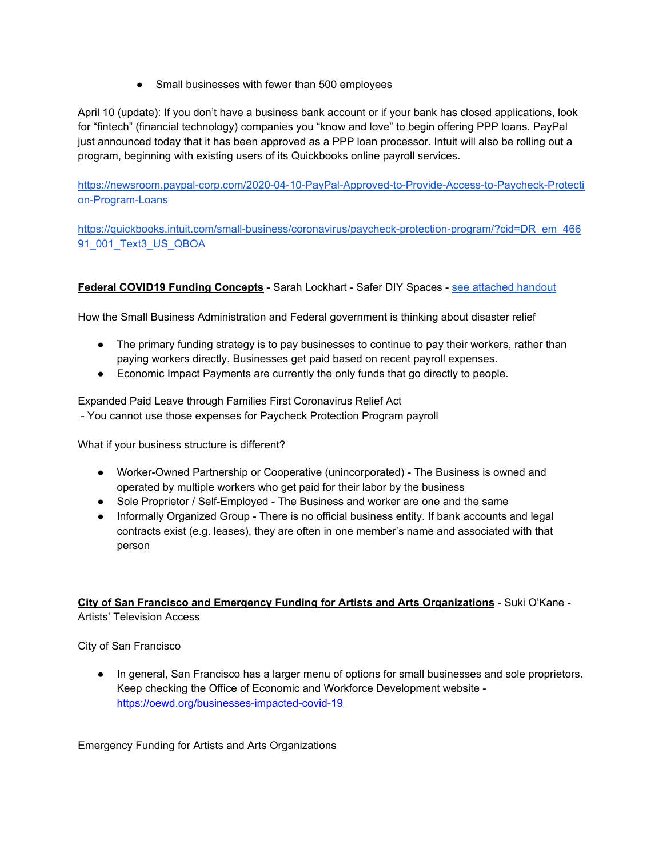• Small businesses with fewer than 500 employees

April 10 (update): If you don't have a business bank account or if your bank has closed applications, look for "fintech" (financial technology) companies you "know and love" to begin offering PPP loans. PayPal just announced today that it has been approved as a PPP loan processor. Intuit will also be rolling out a program, beginning with existing users of its Quickbooks online payroll services.

[https://newsroom.paypal-corp.com/2020-04-10-PayPal-Approved-to-Provide-Access-to-Paycheck-Protecti](https://newsroom.paypal-corp.com/2020-04-10-PayPal-Approved-to-Provide-Access-to-Paycheck-Protection-Program-Loans) [on-Program-Loans](https://newsroom.paypal-corp.com/2020-04-10-PayPal-Approved-to-Provide-Access-to-Paycheck-Protection-Program-Loans)

[https://quickbooks.intuit.com/small-business/coronavirus/paycheck-protection-program/?cid=DR\\_em\\_466](https://quickbooks.intuit.com/small-business/coronavirus/paycheck-protection-program/?cid=DR_em_46691_001_Text3_US_QBOA) [91\\_001\\_Text3\\_US\\_QBOA](https://quickbooks.intuit.com/small-business/coronavirus/paycheck-protection-program/?cid=DR_em_46691_001_Text3_US_QBOA)

#### **Federal COVID19 Funding Concepts** - Sarah Lockhart - Safer DIY Spaces - see [attached](https://drive.google.com/a/nclt.org/open?id=1IB0p88zzkWqgdh8FK5UP4RjdjPhyRMJxWSpe38J1E3Q) handout

How the Small Business Administration and Federal government is thinking about disaster relief

- The primary funding strategy is to pay businesses to continue to pay their workers, rather than paying workers directly. Businesses get paid based on recent payroll expenses.
- Economic Impact Payments are currently the only funds that go directly to people.

Expanded Paid Leave through Families First Coronavirus Relief Act

- You cannot use those expenses for Paycheck Protection Program payroll

What if your business structure is different?

- Worker-Owned Partnership or Cooperative (unincorporated) The Business is owned and operated by multiple workers who get paid for their labor by the business
- Sole Proprietor / Self-Employed The Business and worker are one and the same
- Informally Organized Group There is no official business entity. If bank accounts and legal contracts exist (e.g. leases), they are often in one member's name and associated with that person

#### **City of San Francisco and Emergency Funding for Artists and Arts Organizations** - Suki O'Kane - Artists' Television Access

City of San Francisco

● In general, San Francisco has a larger menu of options for small businesses and sole proprietors. Keep checking the Office of Economic and Workforce Development website  <https://oewd.org/businesses-impacted-covid-19>

Emergency Funding for Artists and Arts Organizations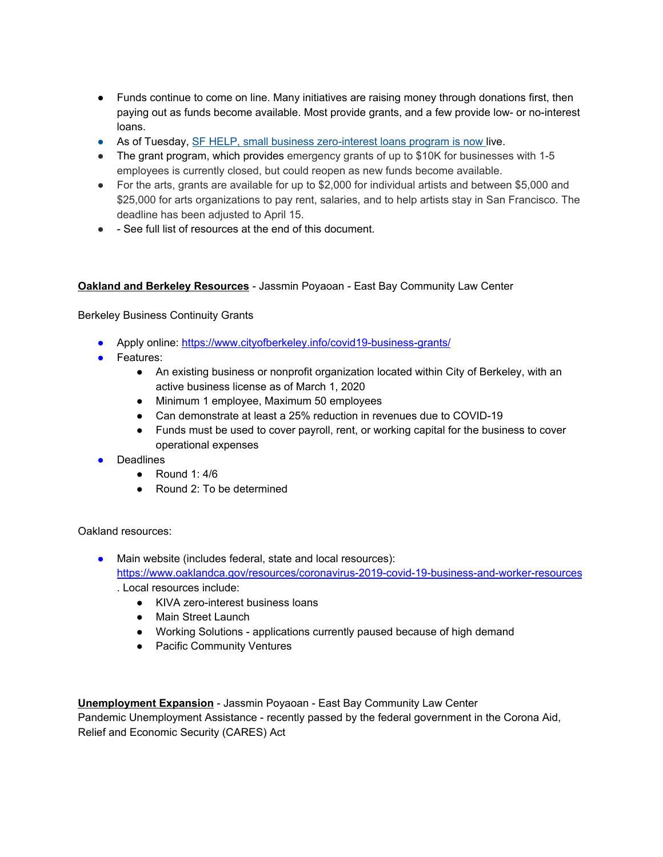- Funds continue to come on line. Many initiatives are raising money through donations first, then paying out as funds become available. Most provide grants, and a few provide low- or no-interest loans.
- As of Tuesday, [S](https://oewd.org/businesses-impacted-covid-19%23Loans)F HELP, small business [zero-interest](https://oewd.org/businesses-impacted-covid-19%23Loans) loans program is now live.
- The grant program, which provides emergency grants of up to \$10K for businesses with 1-5 employees is currently closed, but could reopen as new funds become available.
- For the arts, grants are available for up to \$2,000 for individual artists and between \$5,000 and \$25,000 for arts organizations to pay rent, salaries, and to help artists stay in San Francisco. The deadline has been adjusted to April 15.
- – See full list of resources at the end of this document.

#### **Oakland and Berkeley Resources** - Jassmin Poyaoan - East Bay Community Law Center

Berkeley Business Continuity Grants

- Apply online[:](https://www.cityofberkeley.info/covid19-business-grants/) <https://www.cityofberkeley.info/covid19-business-grants/>
- Features:
	- An existing business or nonprofit organization located within City of Berkeley, with an active business license as of March 1, 2020
	- Minimum 1 employee, Maximum 50 employees
	- Can demonstrate at least a 25% reduction in revenues due to COVID-19
	- Funds must be used to cover payroll, rent, or working capital for the business to cover operational expenses
- Deadlines
	- $\bullet$  Round 1:4/6
	- Round 2: To be determined

Oakland resources:

- Main website (includes federal, state and local resources)[:](https://www.oaklandca.gov/resources/coronavirus-2019-covid-19-business-and-worker-resources) <https://www.oaklandca.gov/resources/coronavirus-2019-covid-19-business-and-worker-resources> . Local resources include:
	- KIVA zero-interest business loans
	- Main Street Launch
	- Working Solutions applications currently paused because of high demand
	- Pacific Community Ventures

**Unemployment Expansion** - Jassmin Poyaoan - East Bay Community Law Center

Pandemic Unemployment Assistance - recently passed by the federal government in the Corona Aid, Relief and Economic Security (CARES) Act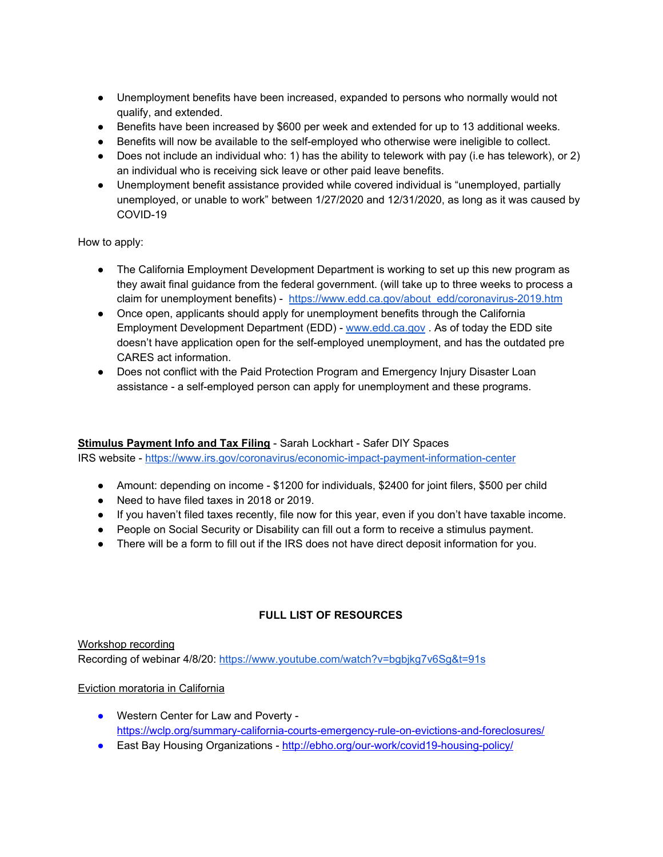- Unemployment benefits have been increased, expanded to persons who normally would not qualify, and extended.
- Benefits have been increased by \$600 per week and extended for up to 13 additional weeks.
- Benefits will now be available to the self-employed who otherwise were ineligible to collect.
- Does not include an individual who: 1) has the ability to telework with pay (i.e has telework), or 2) an individual who is receiving sick leave or other paid leave benefits.
- Unemployment benefit assistance provided while covered individual is "unemployed, partially unemployed, or unable to work" between 1/27/2020 and 12/31/2020, as long as it was caused by COVID-19

How to apply:

- The California Employment Development Department is working to set up this new program as they await final guidance from the federal government. (will take up to three weeks to process a claim for unemployment benefits) - [https://www.edd.ca.gov/about\\_edd/coronavirus-2019.htm](https://www.edd.ca.gov/about_edd/coronavirus-2019.htm)
- Once open, applicants should apply for unemployment benefits through the California Employment Development Department (EDD) - [www.edd.ca.gov](http://www.edd.ca.gov/) . As of today the EDD site doesn't have application open for the self-employed unemployment, and has the outdated pre CARES act information.
- Does not conflict with the Paid Protection Program and Emergency Injury Disaster Loan assistance - a self-employed person can apply for unemployment and these programs.

### **Stimulus Payment Info and Tax Filing** - Sarah Lockhart - Safer DIY Spaces

IRS website [-](https://www.irs.gov/coronavirus/economic-impact-payment-information-center) <https://www.irs.gov/coronavirus/economic-impact-payment-information-center>

- Amount: depending on income \$1200 for individuals, \$2400 for joint filers, \$500 per child
- Need to have filed taxes in 2018 or 2019.
- If you haven't filed taxes recently, file now for this year, even if you don't have taxable income.
- People on Social Security or Disability can fill out a form to receive a stimulus payment.
- There will be a form to fill out if the IRS does not have direct deposit information for you.

### **FULL LIST OF RESOURCES**

Workshop recording Recording of webinar 4/8/20: <https://www.youtube.com/watch?v=bgbjkg7v6Sg&t=91s>

#### Eviction moratoria in California

- Western Center for Law and Poverty <https://wclp.org/summary-california-courts-emergency-rule-on-evictions-and-foreclosures/>
- East Bay Housing Organizations <http://ebho.org/our-work/covid19-housing-policy/>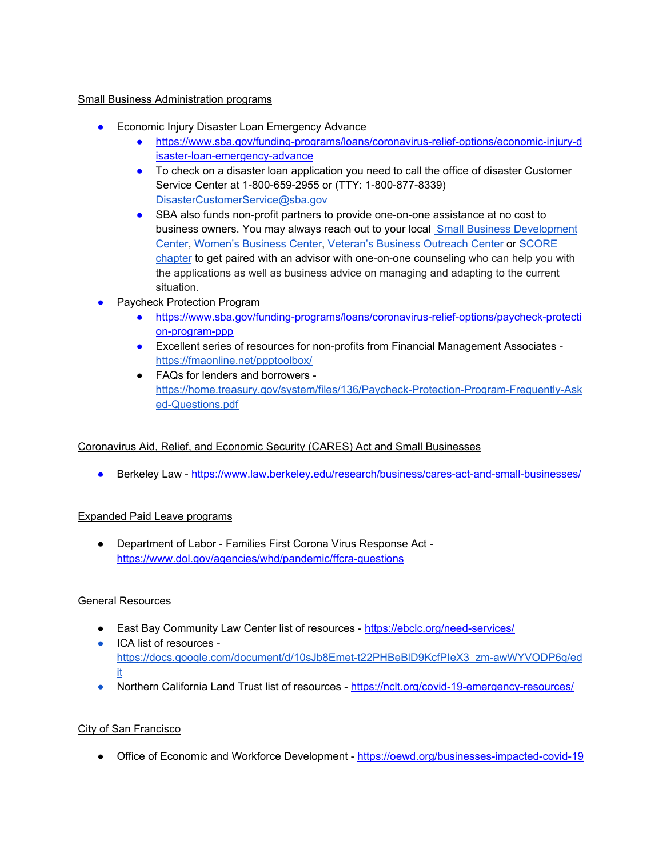#### Small Business Administration programs

- Economic Injury Disaster Loan Emergency Advance
	- [https://www.sba.gov/funding-programs/loans/coronavirus-relief-options/economic-injury-d](https://www.sba.gov/funding-programs/loans/coronavirus-relief-options/economic-injury-disaster-loan-emergency-advance) [isaster-loan-emergency-advance](https://www.sba.gov/funding-programs/loans/coronavirus-relief-options/economic-injury-disaster-loan-emergency-advance)
	- To check on a disaster loan application you need to call the office of disaster Customer Service Center at 1-800-659-2955 or (TTY: 1-800-877-8339) [DisasterCustomerService@sba.gov](mailto:DisasterCustomerService@sba.gov)
	- SBA also funds non-profit partners to provide one-on-one assistance at no cost to business owners. You may always reach out to your local Small Business [Development](https://www.norcalsbdc.org/) [Center](https://www.norcalsbdc.org/), [Women's](https://www.sba.gov/local-assistance/find/?type=Women%27s%20Business%20Center&pageNumber=1) Business Center, [Veteran's](https://www.sba.gov/offices/headquarters/ovbd/resources/1548576) Business Outreach Center or [SCORE](https://www.score.org/) [chapter](https://www.score.org/) to get paired with an advisor with one-on-one counseling who can help you with the applications as well as business advice on managing and adapting to the current situation.
- **Paycheck Protection Program** 
	- [https://www.sba.gov/funding-programs/loans/coronavirus-relief-options/paycheck-protecti](https://www.sba.gov/funding-programs/loans/coronavirus-relief-options/paycheck-protection-program-ppp) [on-program-ppp](https://www.sba.gov/funding-programs/loans/coronavirus-relief-options/paycheck-protection-program-ppp)
	- Excellent series of resources for non-profits from Financial Management Associates  <https://fmaonline.net/ppptoolbox/>
	- FAQs for lenders and borrowers [https://home.treasury.gov/system/files/136/Paycheck-Protection-Program-Frequently-Ask](https://home.treasury.gov/system/files/136/Paycheck-Protection-Program-Frequently-Asked-Questions.pdf) [ed-Questions.pdf](https://home.treasury.gov/system/files/136/Paycheck-Protection-Program-Frequently-Asked-Questions.pdf)

### Coronavirus Aid, Relief, and Economic Security (CARES) Act and Small Businesses

● Berkeley Law [-](https://www.law.berkeley.edu/research/business/cares-act-and-small-businesses/) <https://www.law.berkeley.edu/research/business/cares-act-and-small-businesses/>

#### Expanded Paid Leave programs

● Department of Labor - Families First Corona Virus Response Act  <https://www.dol.gov/agencies/whd/pandemic/ffcra-questions>

### General Resources

- East Bay Community Law Center list of resources <https://ebclc.org/need-services/>
- ICA list of resources  [https://docs.google.com/document/d/10sJb8Emet-t22PHBeBlD9KcfPIeX3\\_zm-awWYVODP6g/ed](https://docs.google.com/document/d/10sJb8Emet-t22PHBeBlD9KcfPIeX3_zm-awWYVODP6g/edit) [it](https://docs.google.com/document/d/10sJb8Emet-t22PHBeBlD9KcfPIeX3_zm-awWYVODP6g/edit)
- Northern California Land Trust list of resources [-](https://nclt.org/covid-19-emergency-resources/) <https://nclt.org/covid-19-emergency-resources/>

#### City of San Francisco

• Office of Economic and Workforce Development - <https://oewd.org/businesses-impacted-covid-19>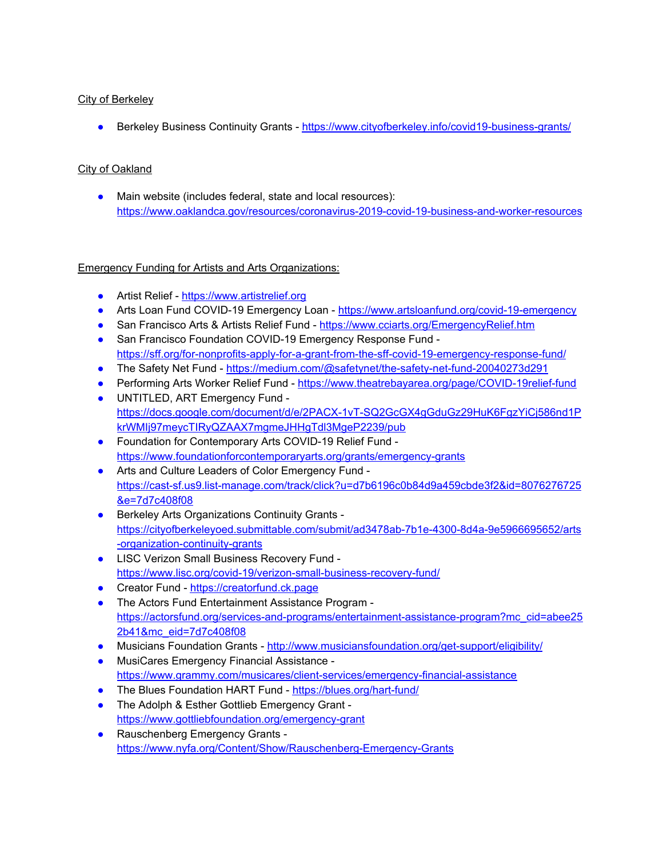### City of Berkeley

• Berkeley Business Continuity Grants [-](https://www.cityofberkeley.info/covid19-business-grants/) <https://www.cityofberkeley.info/covid19-business-grants/>

### City of Oakland

● Main website (includes federal, state and local resources)[:](https://www.oaklandca.gov/resources/coronavirus-2019-covid-19-business-and-worker-resources) <https://www.oaklandca.gov/resources/coronavirus-2019-covid-19-business-and-worker-resources>

### Emergency Funding for Artists and Arts Organizations:

- Artist Relief [-](https://www.artistrelief.org/) [https://www.artistrelief.org](https://www.artistrelief.org/)
- Arts Loan Fund COVID-19 Emergency Loan <https://www.artsloanfund.org/covid-19-emergency>
- San Francisco Arts & Artists Relief Fund <https://www.cciarts.org/EmergencyRelief.htm>
- San Francisco Foundation COVID[-](https://sff.org/for-nonprofits-apply-for-a-grant-from-the-sff-covid-19-emergency-response-fund/)19 Emergency Response Fund <https://sff.org/for-nonprofits-apply-for-a-grant-from-the-sff-covid-19-emergency-response-fund/>
- The Safety Net Fund [-](https://medium.com/@safetynet/the-safety-net-fund-20040273d291) <https://medium.com/@safetynet/the-safety-net-fund-20040273d291>
- Performing Arts Worker Relief Fund [-](https://www.theatrebayarea.org/page/COVID-19relief-fund) <https://www.theatrebayarea.org/page/COVID-19relief-fund>
- UNTITLED, ART Emergency Fund [https://docs.google.com/document/d/e/2PACX-1vT-SQ2GcGX4gGduGz29HuK6FgzYiCj586nd1P](https://docs.google.com/document/d/e/2PACX-1vT-SQ2GcGX4gGduGz29HuK6FgzYiCj586nd1PkrWMIj97meycTIRyQZAAX7mgmeJHHgTdl3MgeP2239/pub) [krWMIj97meycTIRyQZAAX7mgmeJHHgTdl3MgeP2239/pub](https://docs.google.com/document/d/e/2PACX-1vT-SQ2GcGX4gGduGz29HuK6FgzYiCj586nd1PkrWMIj97meycTIRyQZAAX7mgmeJHHgTdl3MgeP2239/pub)
- Foundation for Contemporary Arts COVID[-](https://www.foundationforcontemporaryarts.org/grants/emergency-grants)19 Relief Fund <https://www.foundationforcontemporaryarts.org/grants/emergency-grants>
- Arts and Culture Leaders of Color Emergency Fund [https://cast-sf.us9.list-manage.com/track/click?u=d7b6196c0b84d9a459cbde3f2&id=8076276725](https://cast-sf.us9.list-manage.com/track/click?u=d7b6196c0b84d9a459cbde3f2&id=8076276725&e=7d7c408f08) [&e=7d7c408f08](https://cast-sf.us9.list-manage.com/track/click?u=d7b6196c0b84d9a459cbde3f2&id=8076276725&e=7d7c408f08)
- Berkeley Arts Organizations Continuity Grants  [https://cityofberkeleyoed.submittable.com/submit/ad3478ab-7b1e-4300-8d4a-9e5966695652/arts](https://cityofberkeleyoed.submittable.com/submit/ad3478ab-7b1e-4300-8d4a-9e5966695652/arts-organization-continuity-grants) [-organization-continuity-grants](https://cityofberkeleyoed.submittable.com/submit/ad3478ab-7b1e-4300-8d4a-9e5966695652/arts-organization-continuity-grants)
- LISC Verizon Small Business Recovery Fund <https://www.lisc.org/covid-19/verizon-small-business-recovery-fund/>
- Creator Fund [https://creatorfund.ck.page](https://creatorfund.ck.page/)
- The Actors Fund Entertainment Assistance Program  [https://actorsfund.org/services-and-programs/entertainment-assistance-program?mc\\_cid=abee25](https://actorsfund.org/services-and-programs/entertainment-assistance-program?mc_cid=abee252b41&mc_eid=7d7c408f08) [2b41&mc\\_eid=7d7c408f08](https://actorsfund.org/services-and-programs/entertainment-assistance-program?mc_cid=abee252b41&mc_eid=7d7c408f08)
- Musicians Foundation Grants [-](http://www.musiciansfoundation.org/get-support/eligibility/) <http://www.musiciansfoundation.org/get-support/eligibility/>
- MusiCares Emergency Financial Assistance  <https://www.grammy.com/musicares/client-services/emergency-financial-assistance>
- The Blues Foundation HART Fund <https://blues.org/hart-fund/>
- The Adolph & Esther Gottlieb Emergency Grant <https://www.gottliebfoundation.org/emergency-grant>
- Rauschenberg Emergency Grants <https://www.nyfa.org/Content/Show/Rauschenberg-Emergency-Grants>